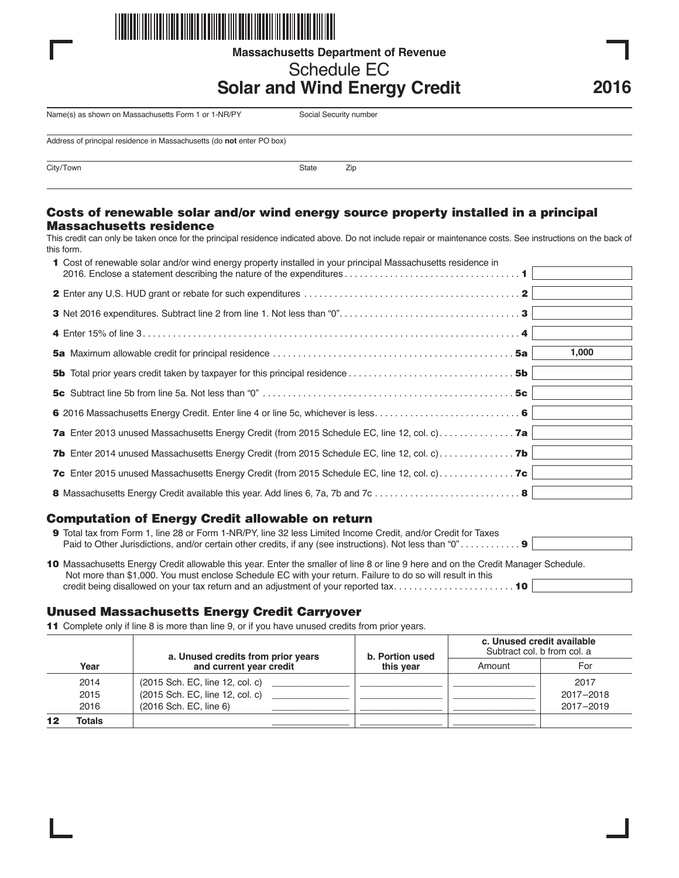

**Massachusetts Department of Revenue**

# Schedule EC

# **Solar and Wind Energy Credit**

Name(s) as shown on Massachusetts Form 1 or 1-NR/PY Social Security number

Address of principal residence in Massachusetts (do **not** enter PO box)

City/Town State Zip

#### **Costs of renewable solar and/or wind energy source property installed in a principal Massachusetts residence**

This credit can only be taken once for the principal residence indicated above. Do not include repair or maintenance costs. See instructions on the back of this form.

| 1 Cost of renewable solar and/or wind energy property installed in your principal Massachusetts residence in |       |
|--------------------------------------------------------------------------------------------------------------|-------|
|                                                                                                              |       |
|                                                                                                              |       |
|                                                                                                              |       |
|                                                                                                              | 1,000 |
|                                                                                                              |       |
|                                                                                                              |       |
|                                                                                                              |       |
|                                                                                                              |       |
| <b>7b</b> Enter 2014 unused Massachusetts Energy Credit (from 2015 Schedule EC, line 12, col. c) <b>7b</b>   |       |
| <b>7c</b> Enter 2015 unused Massachusetts Energy Credit (from 2015 Schedule EC, line 12, col. c) <b>7c</b>   |       |
|                                                                                                              |       |

### **Computation of Energy Credit allowable on return**

|  | <b>9</b> Total tax from Form 1, line 28 or Form 1-NR/PY, line 32 less Limited Income Credit, and/or Credit for Taxes |  |  |  |  |  |
|--|----------------------------------------------------------------------------------------------------------------------|--|--|--|--|--|
|  |                                                                                                                      |  |  |  |  |  |
|  |                                                                                                                      |  |  |  |  |  |

| 10 Massachusetts Energy Credit allowable this year. Enter the smaller of line 8 or line 9 here and on the Credit Manager Schedule. |  |
|------------------------------------------------------------------------------------------------------------------------------------|--|
| Not more than \$1,000. You must enclose Schedule EC with your return. Failure to do so will result in this                         |  |
|                                                                                                                                    |  |

### **Unused Massachusetts Energy Credit Carryover**

**11** Complete only if line 8 is more than line 9, or if you have unused credits from prior years.

|  | Year   | a. Unused credits from prior years<br>and current year credit | b. Portion used<br>this vear | c. Unused credit available<br>Subtract col. b from col. a |           |
|--|--------|---------------------------------------------------------------|------------------------------|-----------------------------------------------------------|-----------|
|  |        |                                                               |                              | Amount                                                    | For       |
|  | 2014   | (2015 Sch. EC, line 12, col. c)                               |                              |                                                           | 2017      |
|  | 2015   | (2015 Sch. EC, line 12, col. c)                               |                              |                                                           | 2017-2018 |
|  | 2016   | (2016 Sch. EC, line 6)                                        |                              |                                                           | 2017-2019 |
|  | Totals |                                                               |                              |                                                           |           |

**2016**